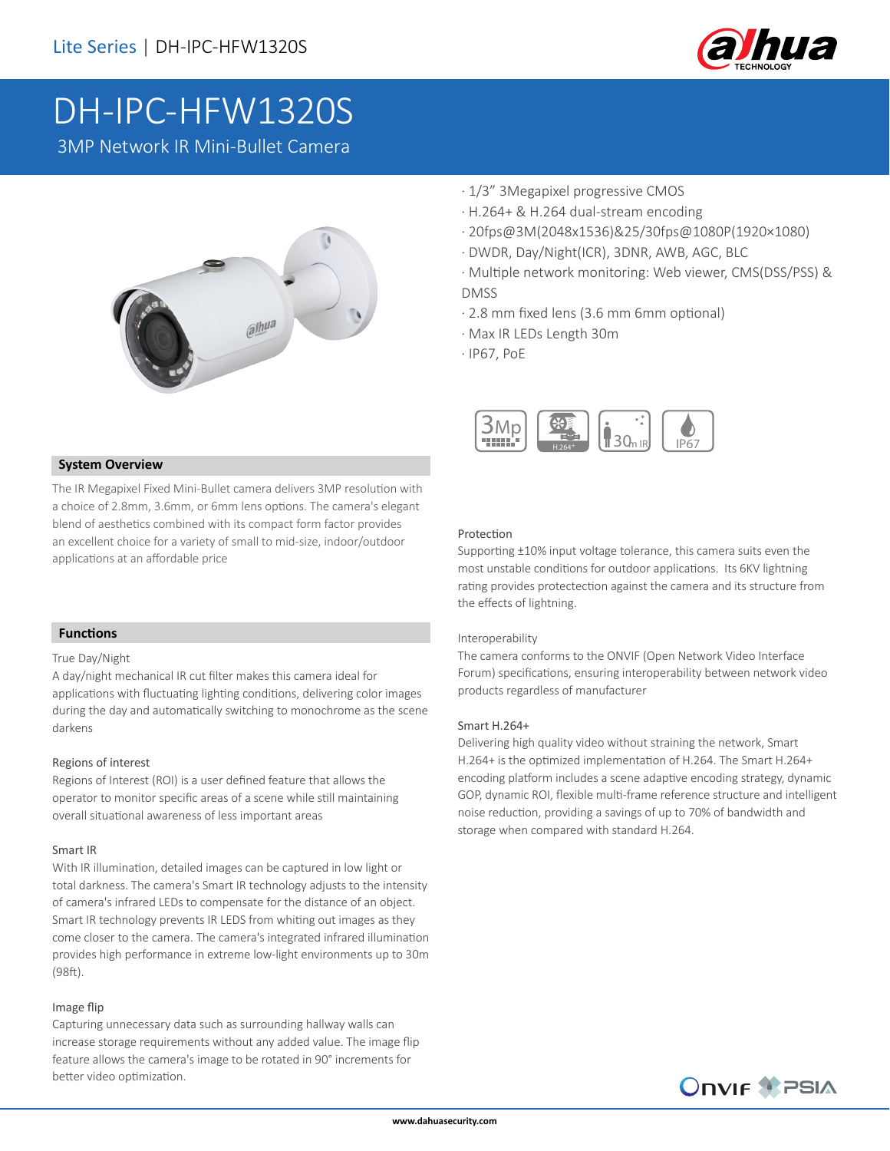

# DH-IPC-HFW1320S

3MP Network IR Mini-Bullet Camera

# alhua

### **System Overview**

The IR Megapixel Fixed Mini-Bullet camera delivers 3MP resolution with a choice of 2.8mm, 3.6mm, or 6mm lens options. The camera's elegant blend of aesthetics combined with its compact form factor provides an excellent choice for a variety of small to mid-size, indoor/outdoor applications at an affordable price

### · 1/3" 3Megapixel progressive CMOS

- · H.264+ & H.264 dual-stream encoding
- · 20fps@3M(2048x1536)&25/30fps@1080P(1920×1080)
- · DWDR, Day/Night(ICR), 3DNR, AWB, AGC, BLC
- · Multiple network monitoring: Web viewer, CMS(DSS/PSS) & DMSS
- · 2.8 mm fixed lens (3.6 mm 6mm optional)
- · Max IR LEDs Length 30m
- · IP67, PoE



### Protection

Supporting ±10% input voltage tolerance, this camera suits even the most unstable conditions for outdoor applications. Its 6KV lightning rating provides protectection against the camera and its structure from the effects of lightning.

### Interoperability

The camera conforms to the ONVIF (Open Network Video Interface Forum) specifications, ensuring interoperability between network video products regardless of manufacturer

### Smart H.264+

Delivering high quality video without straining the network, Smart H.264+ is the optimized implementation of H.264. The Smart H.264+ encoding platform includes a scene adaptive encoding strategy, dynamic GOP, dynamic ROI, flexible multi-frame reference structure and intelligent noise reduction, providing a savings of up to 70% of bandwidth and storage when compared with standard H.264.

**Onvir #PSIA** 

### **Functions**

### True Day/Night

A day/night mechanical IR cut filter makes this camera ideal for applications with fluctuating lighting conditions, delivering color images during the day and automatically switching to monochrome as the scene darkens

### Regions of interest

Regions of Interest (ROI) is a user defined feature that allows the operator to monitor specific areas of a scene while still maintaining overall situational awareness of less important areas

### Smart IR

With IR illumination, detailed images can be captured in low light or total darkness. The camera's Smart IR technology adjusts to the intensity of camera's infrared LEDs to compensate for the distance of an object. Smart IR technology prevents IR LEDS from whiting out images as they come closer to the camera. The camera's integrated infrared illumination provides high performance in extreme low-light environments up to 30m (98ft).

### Image flip

Capturing unnecessary data such as surrounding hallway walls can increase storage requirements without any added value. The image flip feature allows the camera's image to be rotated in 90° increments for better video optimization.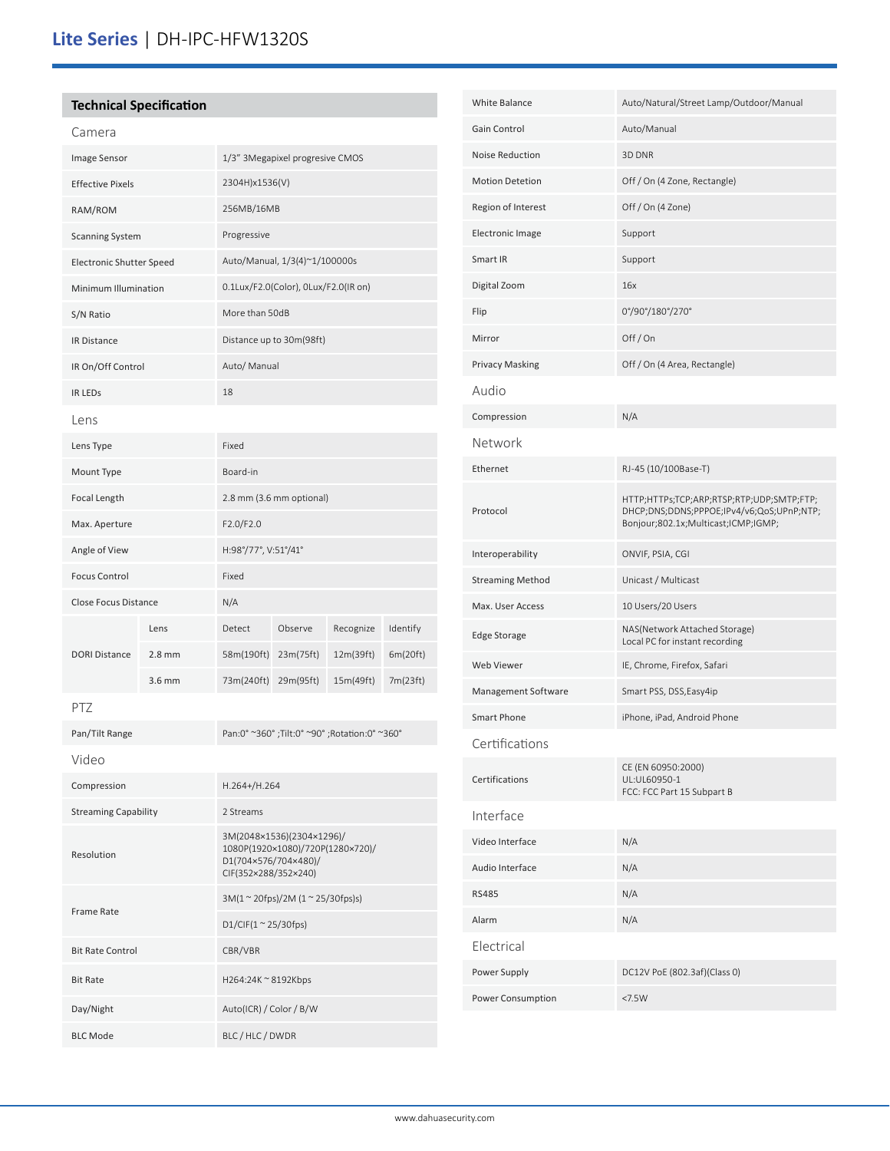# **Lite Series** | DH-IPC-HFW1320S

| <b>Technical Specification</b>  |                   |                                                                                                               |              |           |          |
|---------------------------------|-------------------|---------------------------------------------------------------------------------------------------------------|--------------|-----------|----------|
| Camera                          |                   |                                                                                                               |              |           |          |
| Image Sensor                    |                   | 1/3" 3Megapixel progresive CMOS                                                                               |              |           |          |
| <b>Effective Pixels</b>         |                   | 2304H)x1536(V)                                                                                                |              |           |          |
| RAM/ROM                         |                   | 256MB/16MB                                                                                                    |              |           |          |
| <b>Scanning System</b>          |                   | Progressive                                                                                                   |              |           |          |
| <b>Electronic Shutter Speed</b> |                   | Auto/Manual, 1/3(4)~1/100000s                                                                                 |              |           |          |
| Minimum Illumination            |                   | 0.1Lux/F2.0(Color), 0Lux/F2.0(IR on)                                                                          |              |           |          |
| S/N Ratio                       |                   | More than 50dB                                                                                                |              |           |          |
| IR Distance                     |                   | Distance up to 30m(98ft)                                                                                      |              |           |          |
| IR On/Off Control               |                   | Auto/ Manual                                                                                                  |              |           |          |
| <b>IR LEDS</b>                  |                   | 18                                                                                                            |              |           |          |
| lens                            |                   |                                                                                                               |              |           |          |
| Lens Type                       |                   | Fixed                                                                                                         |              |           |          |
| Mount Type                      |                   | Board-in                                                                                                      |              |           |          |
| Focal Length                    |                   | 2.8 mm (3.6 mm optional)                                                                                      |              |           |          |
| Max. Aperture                   |                   | F2.0/F2.0                                                                                                     |              |           |          |
| Angle of View                   |                   | H:98°/77°, V:51°/41°                                                                                          |              |           |          |
| <b>Focus Control</b>            |                   | Fixed                                                                                                         |              |           |          |
| <b>Close Focus Distance</b>     |                   | N/A                                                                                                           |              |           |          |
|                                 | Lens              | Detect                                                                                                        | Observe      | Recognize | Identify |
| <b>DORI Distance</b>            | $2.8$ mm          | 58m(190ft)                                                                                                    | 23m(75ft)    | 12m(39ft) | 6m(20ft) |
|                                 | 3.6 <sub>mm</sub> | 73m(240ft)                                                                                                    | 29m(95ft)    | 15m(49ft) | 7m(23ft) |
| <b>PTZ</b>                      |                   |                                                                                                               |              |           |          |
| Pan/Tilt Range                  |                   | Pan:0° ~360°; Tilt:0° ~90°; Rotation:0° ~360°                                                                 |              |           |          |
| Video                           |                   |                                                                                                               |              |           |          |
| Compression                     |                   |                                                                                                               | H.264+/H.264 |           |          |
| <b>Streaming Capability</b>     |                   | 2 Streams                                                                                                     |              |           |          |
| Resolution                      |                   | 3M(2048×1536)(2304×1296)/<br>1080P(1920×1080)/720P(1280×720)/<br>D1(704×576/704×480)/<br>CIF(352×288/352×240) |              |           |          |
| <b>Frame Rate</b>               |                   | 3M(1 ~ 20fps)/2M (1 ~ 25/30fps)s)                                                                             |              |           |          |
|                                 |                   | D1/CIF(1 ~ 25/30fps)                                                                                          |              |           |          |
| <b>Bit Rate Control</b>         |                   | CBR/VBR                                                                                                       |              |           |          |
| <b>Bit Rate</b>                 |                   | H264:24K ~ 8192Kbps                                                                                           |              |           |          |
| Day/Night                       |                   | Auto(ICR) / Color / B/W                                                                                       |              |           |          |
| <b>BLC Mode</b>                 |                   | BLC / HLC / DWDR                                                                                              |              |           |          |

| <b>White Balance</b>    | Auto/Natural/Street Lamp/Outdoor/Manual                                                                                       |  |  |
|-------------------------|-------------------------------------------------------------------------------------------------------------------------------|--|--|
| Gain Control            | Auto/Manual                                                                                                                   |  |  |
| <b>Noise Reduction</b>  | 3D DNR                                                                                                                        |  |  |
| <b>Motion Detetion</b>  | Off / On (4 Zone, Rectangle)                                                                                                  |  |  |
| Region of Interest      | Off / On (4 Zone)                                                                                                             |  |  |
| Electronic Image        | Support                                                                                                                       |  |  |
| Smart IR                | Support                                                                                                                       |  |  |
| Digital Zoom            | 16x                                                                                                                           |  |  |
| Flip                    | 0°/90°/180°/270°                                                                                                              |  |  |
| Mirror                  | Off/On                                                                                                                        |  |  |
| <b>Privacy Masking</b>  | Off / On (4 Area, Rectangle)                                                                                                  |  |  |
| Audio                   |                                                                                                                               |  |  |
| Compression             | N/A                                                                                                                           |  |  |
| Network                 |                                                                                                                               |  |  |
| Ethernet                | RJ-45 (10/100Base-T)                                                                                                          |  |  |
| Protocol                | HTTP;HTTPs;TCP;ARP;RTSP;RTP;UDP;SMTP;FTP;<br>DHCP;DNS;DDNS;PPPOE;IPv4/v6;QoS;UPnP;NTP;<br>Bonjour;802.1x;Multicast;ICMP;IGMP; |  |  |
| Interoperability        | ONVIF, PSIA, CGI                                                                                                              |  |  |
| <b>Streaming Method</b> | Unicast / Multicast                                                                                                           |  |  |
| Max. User Access        | 10 Users/20 Users                                                                                                             |  |  |
| <b>Edge Storage</b>     | NAS(Network Attached Storage)<br>Local PC for instant recording                                                               |  |  |
| Web Viewer              | IE, Chrome, Firefox, Safari                                                                                                   |  |  |
| Management Software     | Smart PSS, DSS, Easy4ip                                                                                                       |  |  |
| <b>Smart Phone</b>      | iPhone, iPad, Android Phone                                                                                                   |  |  |
| Certifications          |                                                                                                                               |  |  |
| Certifications          | CE (EN 60950:2000)<br>UL:UL60950-1<br>FCC: FCC Part 15 Subpart B                                                              |  |  |
| Interface               |                                                                                                                               |  |  |
| Video Interface         | N/A                                                                                                                           |  |  |
| Audio Interface         | N/A                                                                                                                           |  |  |
| <b>RS485</b>            | N/A                                                                                                                           |  |  |
| Alarm                   | N/A                                                                                                                           |  |  |
| Electrical              |                                                                                                                               |  |  |
| Power Supply            | DC12V PoE (802.3af)(Class 0)                                                                                                  |  |  |
| Power Consumption       | <7.5W                                                                                                                         |  |  |
|                         |                                                                                                                               |  |  |